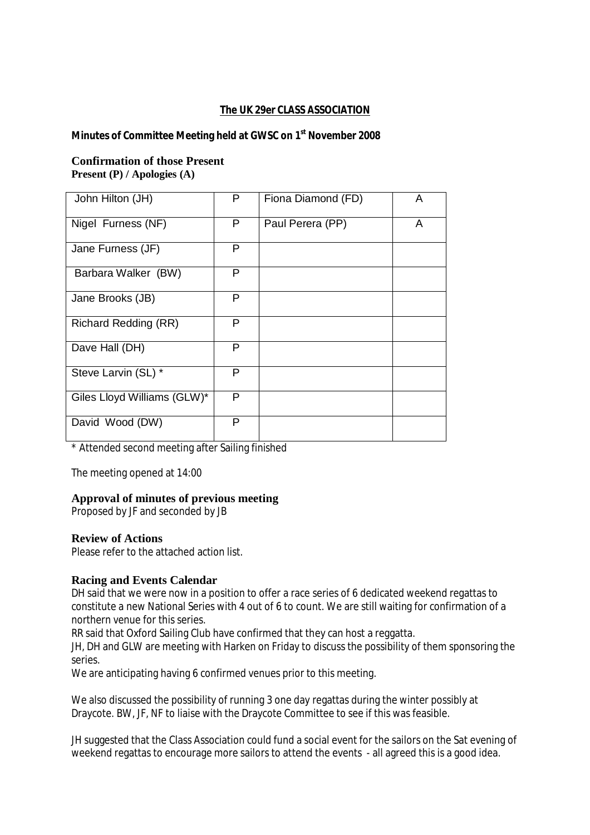# **The UK 29er CLASS ASSOCIATION**

**Minutes of Committee Meeting held at GWSC on 1st November 2008** 

# **Confirmation of those Present Present (P) / Apologies (A)**

| John Hilton (JH)            | P | Fiona Diamond (FD) | A |
|-----------------------------|---|--------------------|---|
| Nigel Furness (NF)          | P | Paul Perera (PP)   | A |
| Jane Furness (JF)           | P |                    |   |
| Barbara Walker (BW)         | P |                    |   |
| Jane Brooks (JB)            | P |                    |   |
| Richard Redding (RR)        | P |                    |   |
| Dave Hall (DH)              | P |                    |   |
| Steve Larvin (SL) *         | P |                    |   |
| Giles Lloyd Williams (GLW)* | P |                    |   |
| David Wood (DW)             | P |                    |   |

\* Attended second meeting after Sailing finished

The meeting opened at 14:00

# **Approval of minutes of previous meeting**

Proposed by JF and seconded by JB

# **Review of Actions**

Please refer to the attached action list.

# **Racing and Events Calendar**

DH said that we were now in a position to offer a race series of 6 dedicated weekend regattas to constitute a new National Series with 4 out of 6 to count. We are still waiting for confirmation of a northern venue for this series.

RR said that Oxford Sailing Club have confirmed that they can host a reggatta.

JH, DH and GLW are meeting with Harken on Friday to discuss the possibility of them sponsoring the series.

We are anticipating having 6 confirmed venues prior to this meeting.

We also discussed the possibility of running 3 one day regattas during the winter possibly at Draycote. BW, JF, NF to liaise with the Draycote Committee to see if this was feasible.

JH suggested that the Class Association could fund a social event for the sailors on the Sat evening of weekend regattas to encourage more sailors to attend the events - all agreed this is a good idea.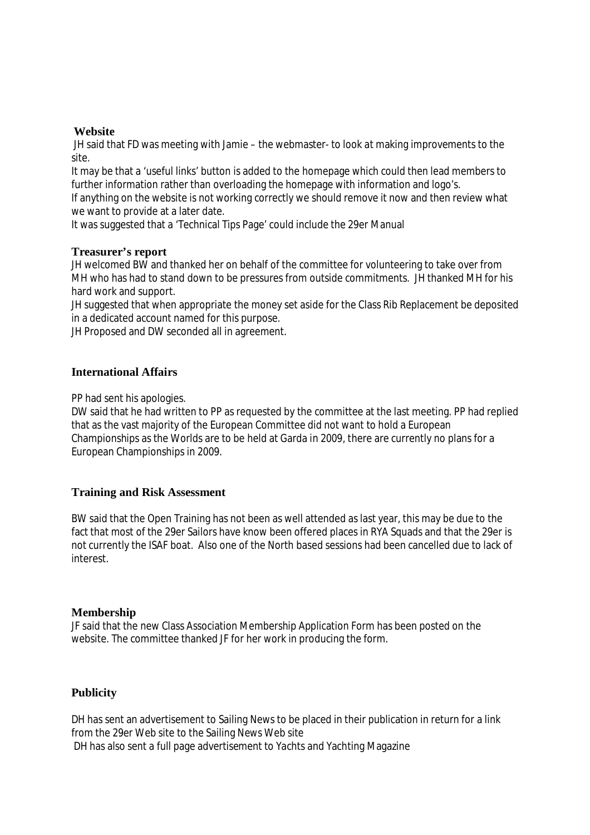## **Website**

JH said that FD was meeting with Jamie – the webmaster- to look at making improvements to the site.

It may be that a 'useful links' button is added to the homepage which could then lead members to further information rather than overloading the homepage with information and logo's.

If anything on the website is not working correctly we should remove it now and then review what we want to provide at a later date.

It was suggested that a 'Technical Tips Page' could include the 29er Manual

#### **Treasurer's report**

JH welcomed BW and thanked her on behalf of the committee for volunteering to take over from MH who has had to stand down to be pressures from outside commitments. JH thanked MH for his hard work and support.

JH suggested that when appropriate the money set aside for the Class Rib Replacement be deposited in a dedicated account named for this purpose.

JH Proposed and DW seconded all in agreement.

#### **International Affairs**

PP had sent his apologies.

DW said that he had written to PP as requested by the committee at the last meeting. PP had replied that as the vast majority of the European Committee did not want to hold a European Championships as the Worlds are to be held at Garda in 2009, there are currently no plans for a European Championships in 2009.

# **Training and Risk Assessment**

BW said that the Open Training has not been as well attended as last year, this may be due to the fact that most of the 29er Sailors have know been offered places in RYA Squads and that the 29er is not currently the ISAF boat. Also one of the North based sessions had been cancelled due to lack of interest.

# **Membership**

JF said that the new Class Association Membership Application Form has been posted on the website. The committee thanked JF for her work in producing the form.

# **Publicity**

DH has sent an advertisement to Sailing News to be placed in their publication in return for a link from the 29er Web site to the Sailing News Web site DH has also sent a full page advertisement to Yachts and Yachting Magazine